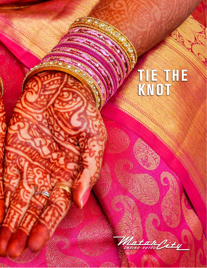# **TIE THE KNOT**

Matan City